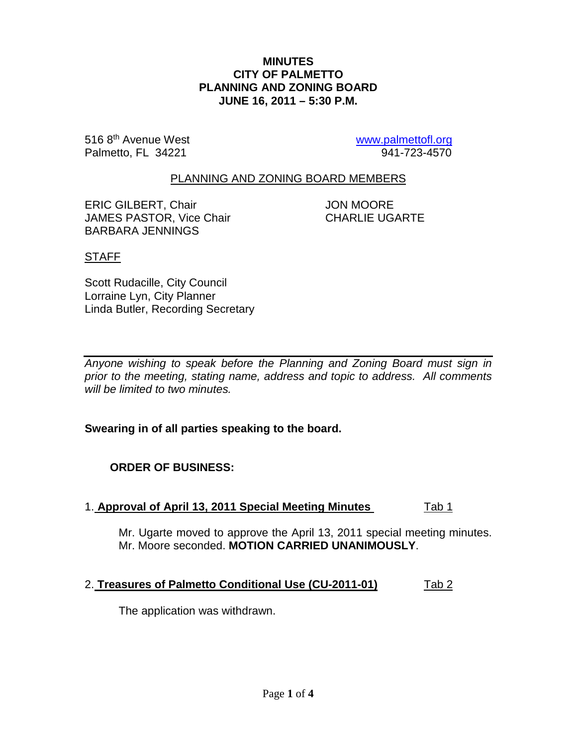#### **MINUTES CITY OF PALMETTO PLANNING AND ZONING BOARD JUNE 16, 2011 – 5:30 P.M.**

516 8<sup>th</sup> Avenue West [www.palmettofl.org](http://www.palmettofl.org/)<br>
Palmetto, FL 34221 941-723-4570 Palmetto, FL 34221

## PLANNING AND ZONING BOARD MEMBERS

ERIC GILBERT, Chair **JON MOORE** JAMES PASTOR, Vice Chair CHARLIE UGARTE BARBARA JENNINGS

## STAFF

Scott Rudacille, City Council Lorraine Lyn, City Planner Linda Butler, Recording Secretary

*Anyone wishing to speak before the Planning and Zoning Board must sign in prior to the meeting, stating name, address and topic to address. All comments will be limited to two minutes.*

**Swearing in of all parties speaking to the board.**

# **ORDER OF BUSINESS:**

## 1. **Approval of April 13, 2011 Special Meeting Minutes** Tab 1

Mr. Ugarte moved to approve the April 13, 2011 special meeting minutes. Mr. Moore seconded. **MOTION CARRIED UNANIMOUSLY**.

## 2. **Treasures of Palmetto Conditional Use (CU-2011-01)** Tab 2

The application was withdrawn.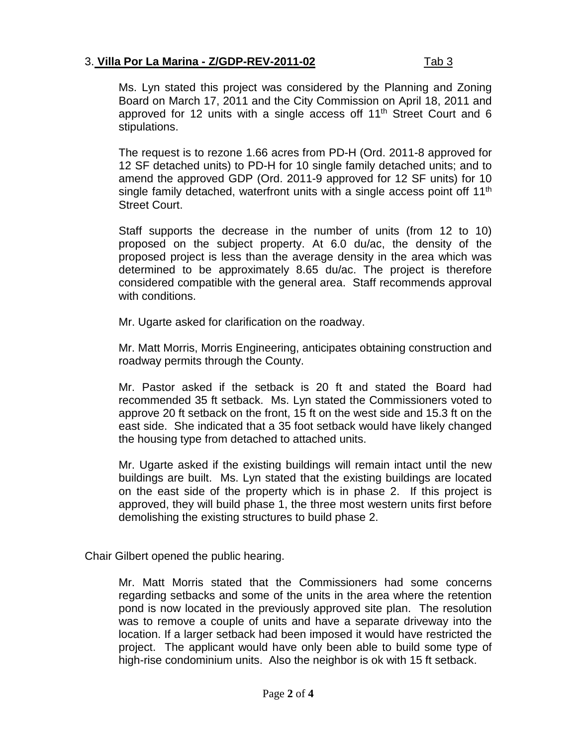# 3. **Villa Por La Marina - Z/GDP-REV-2011-02** Tab 3

Ms. Lyn stated this project was considered by the Planning and Zoning Board on March 17, 2011 and the City Commission on April 18, 2011 and approved for 12 units with a single access off 11<sup>th</sup> Street Court and 6 stipulations.

The request is to rezone 1.66 acres from PD-H (Ord. 2011-8 approved for 12 SF detached units) to PD-H for 10 single family detached units; and to amend the approved GDP (Ord. 2011-9 approved for 12 SF units) for 10 single family detached, waterfront units with a single access point off 11<sup>th</sup> Street Court.

Staff supports the decrease in the number of units (from 12 to 10) proposed on the subject property. At 6.0 du/ac, the density of the proposed project is less than the average density in the area which was determined to be approximately 8.65 du/ac. The project is therefore considered compatible with the general area. Staff recommends approval with conditions.

Mr. Ugarte asked for clarification on the roadway.

Mr. Matt Morris, Morris Engineering, anticipates obtaining construction and roadway permits through the County.

Mr. Pastor asked if the setback is 20 ft and stated the Board had recommended 35 ft setback. Ms. Lyn stated the Commissioners voted to approve 20 ft setback on the front, 15 ft on the west side and 15.3 ft on the east side. She indicated that a 35 foot setback would have likely changed the housing type from detached to attached units.

Mr. Ugarte asked if the existing buildings will remain intact until the new buildings are built. Ms. Lyn stated that the existing buildings are located on the east side of the property which is in phase 2. If this project is approved, they will build phase 1, the three most western units first before demolishing the existing structures to build phase 2.

Chair Gilbert opened the public hearing.

Mr. Matt Morris stated that the Commissioners had some concerns regarding setbacks and some of the units in the area where the retention pond is now located in the previously approved site plan. The resolution was to remove a couple of units and have a separate driveway into the location. If a larger setback had been imposed it would have restricted the project. The applicant would have only been able to build some type of high-rise condominium units. Also the neighbor is ok with 15 ft setback.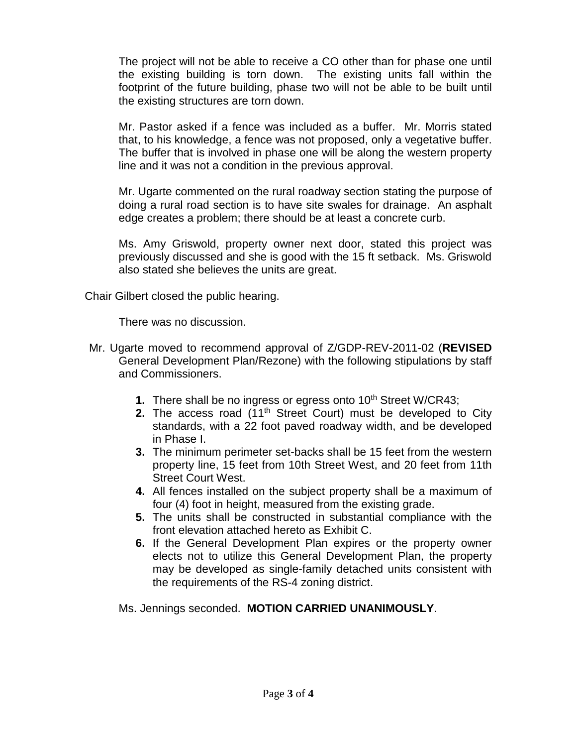The project will not be able to receive a CO other than for phase one until the existing building is torn down. The existing units fall within the footprint of the future building, phase two will not be able to be built until the existing structures are torn down.

Mr. Pastor asked if a fence was included as a buffer. Mr. Morris stated that, to his knowledge, a fence was not proposed, only a vegetative buffer. The buffer that is involved in phase one will be along the western property line and it was not a condition in the previous approval.

Mr. Ugarte commented on the rural roadway section stating the purpose of doing a rural road section is to have site swales for drainage. An asphalt edge creates a problem; there should be at least a concrete curb.

Ms. Amy Griswold, property owner next door, stated this project was previously discussed and she is good with the 15 ft setback. Ms. Griswold also stated she believes the units are great.

Chair Gilbert closed the public hearing.

There was no discussion.

- Mr. Ugarte moved to recommend approval of Z/GDP-REV-2011-02 (**REVISED** General Development Plan/Rezone) with the following stipulations by staff and Commissioners.
	- **1.** There shall be no ingress or egress onto 10<sup>th</sup> Street W/CR43;
	- **2.** The access road (11<sup>th</sup> Street Court) must be developed to City standards, with a 22 foot paved roadway width, and be developed in Phase I.
	- **3.** The minimum perimeter set-backs shall be 15 feet from the western property line, 15 feet from 10th Street West, and 20 feet from 11th Street Court West.
	- **4.** All fences installed on the subject property shall be a maximum of four (4) foot in height, measured from the existing grade.
	- **5.** The units shall be constructed in substantial compliance with the front elevation attached hereto as Exhibit C.
	- **6.** If the General Development Plan expires or the property owner elects not to utilize this General Development Plan, the property may be developed as single-family detached units consistent with the requirements of the RS-4 zoning district.

Ms. Jennings seconded. **MOTION CARRIED UNANIMOUSLY**.